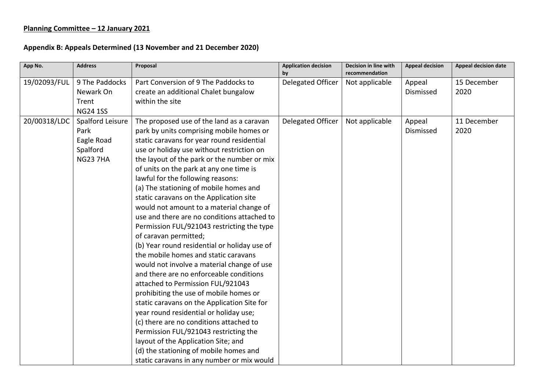## **Planning Committee – 12 January 2021**

## **Appendix B: Appeals Determined (13 November and 21 December 2020)**

| App No.      | <b>Address</b>                                                        | Proposal                                                                                                                                                                                                                                                                                                                                                                                                                                                                                                                                                                                                                                                                                                                                                                                                                                                                                                                                                                                                                                                                                                                                           | <b>Application decision</b><br>by | Decision in line with<br>recommendation | <b>Appeal decision</b> | <b>Appeal decision date</b> |
|--------------|-----------------------------------------------------------------------|----------------------------------------------------------------------------------------------------------------------------------------------------------------------------------------------------------------------------------------------------------------------------------------------------------------------------------------------------------------------------------------------------------------------------------------------------------------------------------------------------------------------------------------------------------------------------------------------------------------------------------------------------------------------------------------------------------------------------------------------------------------------------------------------------------------------------------------------------------------------------------------------------------------------------------------------------------------------------------------------------------------------------------------------------------------------------------------------------------------------------------------------------|-----------------------------------|-----------------------------------------|------------------------|-----------------------------|
| 19/02093/FUL | 9 The Paddocks<br>Newark On<br>Trent<br><b>NG24 1SS</b>               | Part Conversion of 9 The Paddocks to<br>create an additional Chalet bungalow<br>within the site                                                                                                                                                                                                                                                                                                                                                                                                                                                                                                                                                                                                                                                                                                                                                                                                                                                                                                                                                                                                                                                    | Delegated Officer                 | Not applicable                          | Appeal<br>Dismissed    | 15 December<br>2020         |
| 20/00318/LDC | Spalford Leisure<br>Park<br>Eagle Road<br>Spalford<br><b>NG23 7HA</b> | The proposed use of the land as a caravan<br>park by units comprising mobile homes or<br>static caravans for year round residential<br>use or holiday use without restriction on<br>the layout of the park or the number or mix<br>of units on the park at any one time is<br>lawful for the following reasons:<br>(a) The stationing of mobile homes and<br>static caravans on the Application site<br>would not amount to a material change of<br>use and there are no conditions attached to<br>Permission FUL/921043 restricting the type<br>of caravan permitted;<br>(b) Year round residential or holiday use of<br>the mobile homes and static caravans<br>would not involve a material change of use<br>and there are no enforceable conditions<br>attached to Permission FUL/921043<br>prohibiting the use of mobile homes or<br>static caravans on the Application Site for<br>year round residential or holiday use;<br>(c) there are no conditions attached to<br>Permission FUL/921043 restricting the<br>layout of the Application Site; and<br>(d) the stationing of mobile homes and<br>static caravans in any number or mix would | Delegated Officer                 | Not applicable                          | Appeal<br>Dismissed    | 11 December<br>2020         |